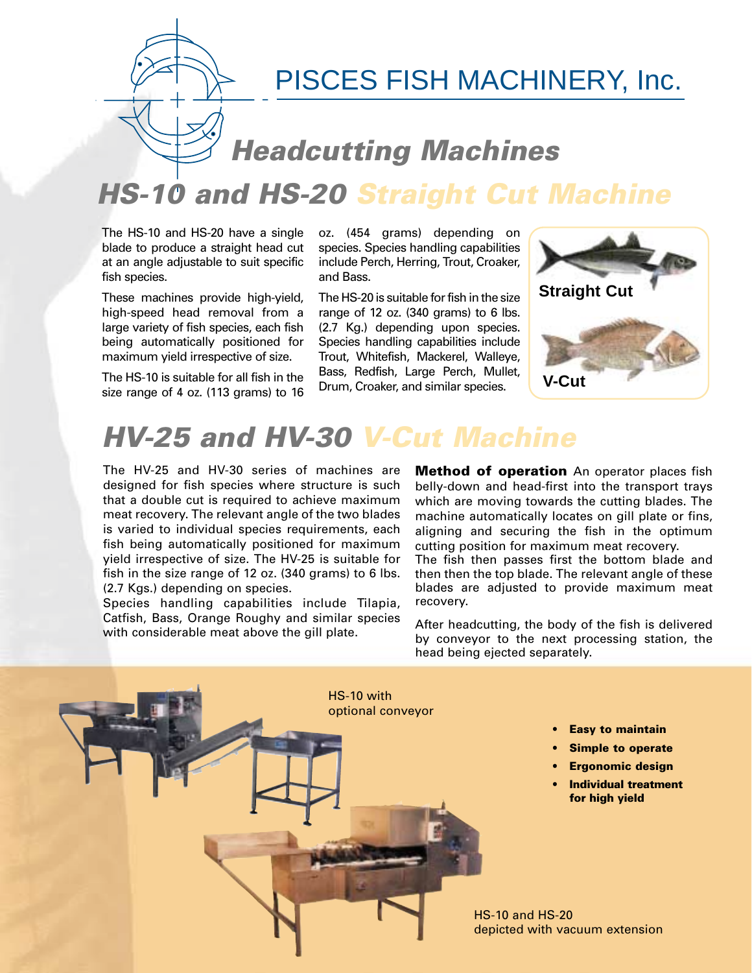

### **Headcutting Machines**

## **HS-10 and HS-20 Straight Cut Machine**

The HS-10 and HS-20 have a single blade to produce a straight head cut at an angle adjustable to suit specific fish species.

These machines provide high-yield, high-speed head removal from a large variety of fish species, each fish being automatically positioned for maximum yield irrespective of size.

The HS-10 is suitable for all fish in the size range of 4 oz. (113 grams) to 16 oz. (454 grams) depending on species. Species handling capabilities include Perch, Herring, Trout, Croaker, and Bass.

The HS-20 is suitable for fish in the size range of 12 oz. (340 grams) to 6 lbs. (2.7 Kg.) depending upon species. Species handling capabilities include Trout, Whitefish, Mackerel, Walleye, Bass, Redfish, Large Perch, Mullet, Drum, Croaker, and similar species. **V-Cut**



# **HV-25 and HV-30 V-Cut Machine**

The HV-25 and HV-30 series of machines are designed for fish species where structure is such that a double cut is required to achieve maximum meat recovery. The relevant angle of the two blades is varied to individual species requirements, each fish being automatically positioned for maximum yield irrespective of size. The HV-25 is suitable for fish in the size range of 12 oz. (340 grams) to 6 lbs. (2.7 Kgs.) depending on species.

Species handling capabilities include Tilapia, Catfish, Bass, Orange Roughy and similar species with considerable meat above the gill plate.

**Method of operation** An operator places fish belly-down and head-first into the transport trays which are moving towards the cutting blades. The machine automatically locates on gill plate or fins, aligning and securing the fish in the optimum cutting position for maximum meat recovery.

The fish then passes first the bottom blade and then then the top blade. The relevant angle of these blades are adjusted to provide maximum meat recovery.

After headcutting, the body of the fish is delivered by conveyor to the next processing station, the head being ejected separately.



**• Easy to maintain**

- **Simple to operate**
- **Ergonomic design**
- **Individual treatment for high yield**

HS-10 and HS-20 depicted with vacuum extension